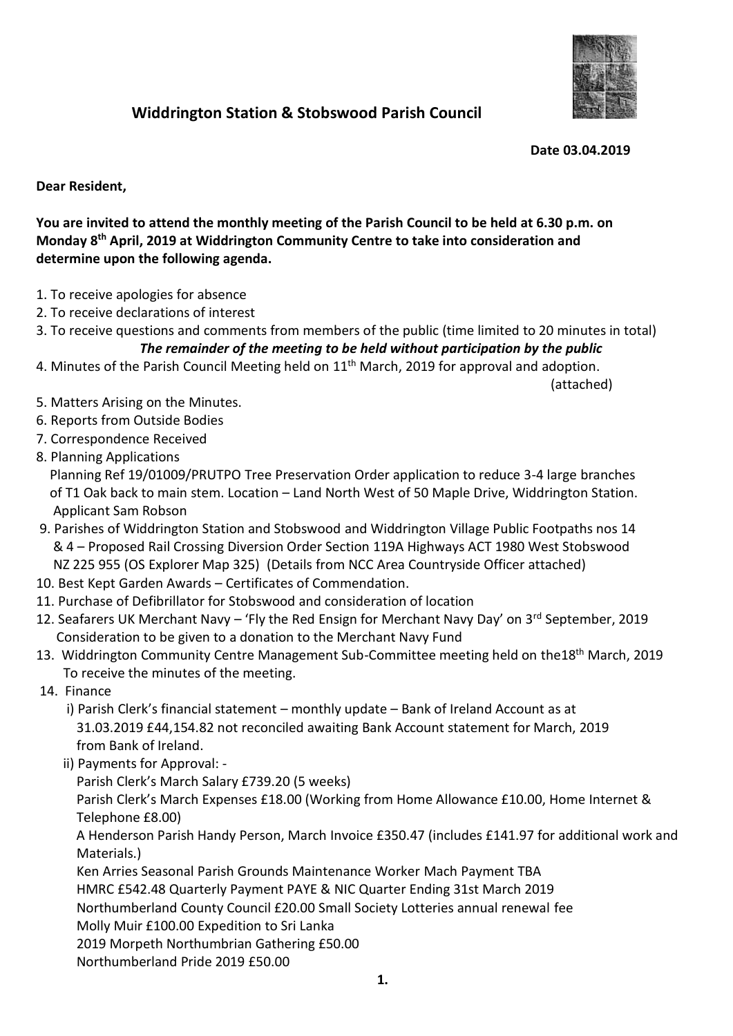

## **Widdrington Station & Stobswood Parish Council**

 **Date 03.04.2019**

## **Dear Resident,**

**You are invited to attend the monthly meeting of the Parish Council to be held at 6.30 p.m. on Monday 8 th April, 2019 at Widdrington Community Centre to take into consideration and determine upon the following agenda.**

- 1. To receive apologies for absence
- 2. To receive declarations of interest
- 3. To receive questions and comments from members of the public (time limited to 20 minutes in total) *The remainder of the meeting to be held without participation by the public*
- 4. Minutes of the Parish Council Meeting held on  $11<sup>th</sup>$  March, 2019 for approval and adoption.

(attached)

- 5. Matters Arising on the Minutes.
- 6. Reports from Outside Bodies
- 7. Correspondence Received
- 8. Planning Applications

 Planning Ref 19/01009/PRUTPO Tree Preservation Order application to reduce 3-4 large branches of T1 Oak back to main stem. Location – Land North West of 50 Maple Drive, Widdrington Station. Applicant Sam Robson

- 9. Parishes of Widdrington Station and Stobswood and Widdrington Village Public Footpaths nos 14 & 4 – Proposed Rail Crossing Diversion Order Section 119A Highways ACT 1980 West Stobswood NZ 225 955 (OS Explorer Map 325) (Details from NCC Area Countryside Officer attached)
- 10. Best Kept Garden Awards Certificates of Commendation.
- 11. Purchase of Defibrillator for Stobswood and consideration of location
- 12. Seafarers UK Merchant Navy 'Fly the Red Ensign for Merchant Navy Day' on 3rd September, 2019 Consideration to be given to a donation to the Merchant Navy Fund
- 13. Widdrington Community Centre Management Sub-Committee meeting held on the18<sup>th</sup> March, 2019 To receive the minutes of the meeting.
- 14. Finance
	- i) Parish Clerk's financial statement monthly update Bank of Ireland Account as at 31.03.2019 £44,154.82 not reconciled awaiting Bank Account statement for March, 2019 from Bank of Ireland.
	- ii) Payments for Approval: -

Parish Clerk's March Salary £739.20 (5 weeks)

 Parish Clerk's March Expenses £18.00 (Working from Home Allowance £10.00, Home Internet & Telephone £8.00)

 A Henderson Parish Handy Person, March Invoice £350.47 (includes £141.97 for additional work and Materials.)

Ken Arries Seasonal Parish Grounds Maintenance Worker Mach Payment TBA

HMRC £542.48 Quarterly Payment PAYE & NIC Quarter Ending 31st March 2019

Northumberland County Council £20.00 Small Society Lotteries annual renewal fee

Molly Muir £100.00 Expedition to Sri Lanka

2019 Morpeth Northumbrian Gathering £50.00

Northumberland Pride 2019 £50.00